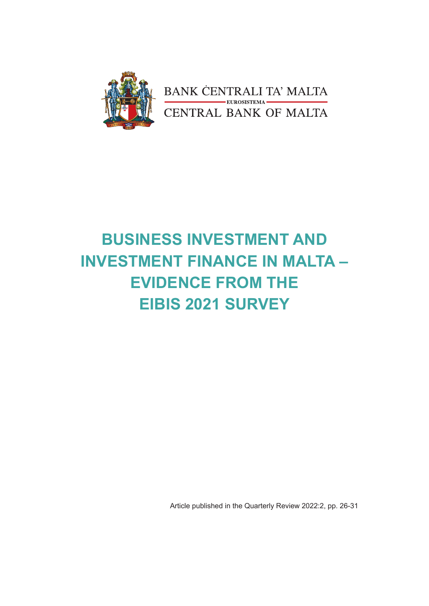

# **BUSINESS INVESTMENT AND INVESTMENT FINANCE IN MALTA – EVIDENCE FROM THE EIBIS 2021 SURVEY**

Article published in the Quarterly Review 2022:2, pp. 26-31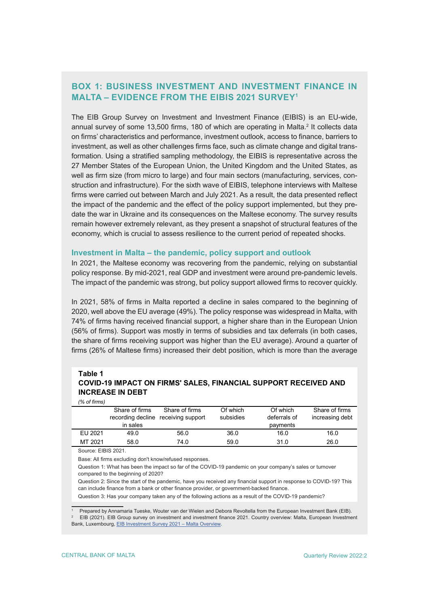# **BOX 1: BUSINESS INVESTMENT AND INVESTMENT FINANCE IN MALTA – EVIDENCE FROM THE EIBIS 2021 SURVEY1**

The EIB Group Survey on Investment and Investment Finance (EIBIS) is an EU-wide, annual survey of some 13,500 firms, 180 of which are operating in Malta.<sup>2</sup> It collects data on firms' characteristics and performance, investment outlook, access to finance, barriers to investment, as well as other challenges firms face, such as climate change and digital transformation. Using a stratified sampling methodology, the EIBIS is representative across the 27 Member States of the European Union, the United Kingdom and the United States, as well as firm size (from micro to large) and four main sectors (manufacturing, services, construction and infrastructure). For the sixth wave of EIBIS, telephone interviews with Maltese firms were carried out between March and July 2021. As a result, the data presented reflect the impact of the pandemic and the effect of the policy support implemented, but they predate the war in Ukraine and its consequences on the Maltese economy. The survey results remain however extremely relevant, as they present a snapshot of structural features of the economy, which is crucial to assess resilience to the current period of repeated shocks.

# **Investment in Malta – the pandemic, policy support and outlook**

In 2021, the Maltese economy was recovering from the pandemic, relying on substantial policy response. By mid-2021, real GDP and investment were around pre-pandemic levels. The impact of the pandemic was strong, but policy support allowed firms to recover quickly.

In 2021, 58% of firms in Malta reported a decline in sales compared to the beginning of 2020, well above the EU average (49%). The policy response was widespread in Malta, with 74% of firms having received financial support, a higher share than in the European Union (56% of firms). Support was mostly in terms of subsidies and tax deferrals (in both cases, the share of firms receiving support was higher than the EU average). Around a quarter of firms (26% of Maltese firms) increased their debt position, which is more than the average

### **COVID-19 IMPACT ON FIRMS' SALES, FINANCIAL SUPPORT RECEIVED AND INCREASE IN DEBT Table 1** *(% of firms)*

|         | Share of firms | Share of firms                      | Of which  | Of which     | Share of firms  |
|---------|----------------|-------------------------------------|-----------|--------------|-----------------|
|         |                | recording decline receiving support | subsidies | deferrals of | increasing debt |
|         | in sales       |                                     |           | payments     |                 |
| EU 2021 | 49.0           | 56.0                                | 36.0      | 16.0         | 16.0            |
| MT 2021 | 58.0           | 74.0                                | 59.0      | 31.0         | 26.0            |

Source: EIBIS 2021.

Base: All firms excluding don't know/refused responses.

Question 1: What has been the impact so far of the COVID-19 pandemic on your company's sales or turnover compared to the beginning of 2020?

Question 2: Since the start of the pandemic, have you received any financial support in response to COVID-19? This can include finance from a bank or other finance provider, or government-backed finance.

Question 3: Has your company taken any of the following actions as a result of the COVID-19 pandemic?

1 Prepared by Annamaria Tueske, Wouter van der Wielen and Debora Revoltella from the European Investment Bank (EIB). 2 EIB (2021). EIB Group survey on investment and investment finance 2021. Country overview: Malta, European Investment Bank, Luxembourg, [EIB Investment Survey 2021 – Malta Overview](https://www.eib.org/attachments/publications/eibis_2021_malta_en.pdf).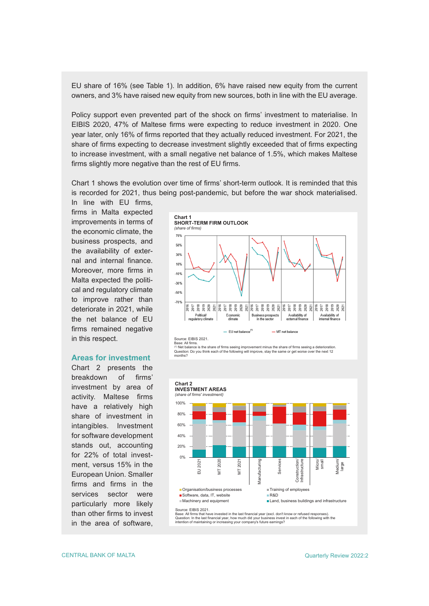EU share of 16% (see Table 1). In addition, 6% have raised new equity from the current owners, and 3% have raised new equity from new sources, both in line with the EU average.

Policy support even prevented part of the shock on firms' investment to materialise. In EIBIS 2020, 47% of Maltese firms were expecting to reduce investment in 2020. One year later, only 16% of firms reported that they actually reduced investment. For 2021, the share of firms expecting to decrease investment slightly exceeded that of firms expecting to increase investment, with a small negative net balance of 1.5%, which makes Maltese firms slightly more negative than the rest of EU firms.

Chart 1 shows the evolution over time of firms' short-term outlook. It is reminded that this is recorded for 2021, thus being post-pandemic, but before the war shock materialised.

In line with EU firms, firms in Malta expected improvements in terms of the economic climate, the business prospects, and the availability of external and internal finance. Moreover, more firms in Malta expected the political and regulatory climate to improve rather than deteriorate in 2021, while the net balance of EU firms remained negative in this respect.

## **Areas for investment**

Chart 2 presents the breakdown of firms' investment by area of activity. Maltese firms have a relatively high share of investment in intangibles. Investment for software development stands out, accounting for 22% of total investment, versus 15% in the European Union. Smaller firms and firms in the services sector were particularly more likely than other firms to invest in the area of software,



Base: All firms.<br><sup>(1)</sup> Net balance is the share of firms seeing improvement minus the share of firms seeing a deterioration.<br>Question: Do you think each of the following will improve, stay the same or get worse over the ne



Base: All firms that have invested in the last financial year (excl. don't know or refused responses). Question: In the last financial year, how much did your business invest in each of the following with the intention of maintaining or increasing your company's future earnings?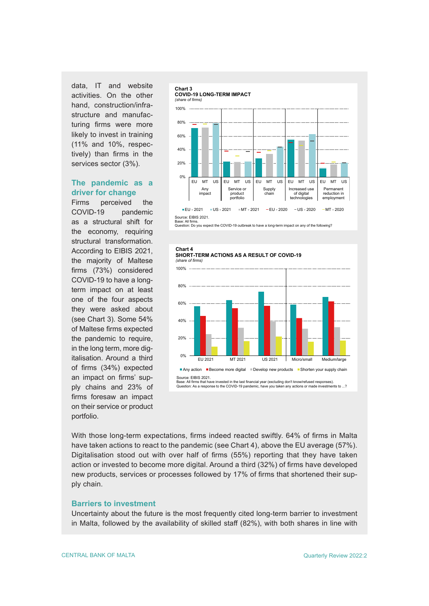data, IT and website activities. On the other hand, construction/infrastructure and manufacturing firms were more likely to invest in training (11% and 10%, respectively) than firms in the services sector (3%).

# **The pandemic as a driver for change**

Firms perceived the COVID-19 pandemic as a structural shift for the economy, requiring structural transformation. According to EIBIS 2021, the majority of Maltese firms (73%) considered COVID-19 to have a longterm impact on at least one of the four aspects they were asked about (see Chart 3). Some 54% of Maltese firms expected the pandemic to require, in the long term, more digitalisation. Around a third of firms (34%) expected an impact on firms' supply chains and 23% of firms foresaw an impact on their service or product portfolio.



Base: All firms. Question: Do you expect the COVID-19 outbreak to have a long-term impact on any of the following?





Source: EIBIS 2021.<br>Base: All firms that have invested in the last financial year (excluding don't know/refused responses).<br>Question: As a response to the COVID-19 pandemic, have you taken any actions or made investments t

With those long-term expectations, firms indeed reacted swiftly. 64% of firms in Malta have taken actions to react to the pandemic (see Chart 4), above the EU average (57%). Digitalisation stood out with over half of firms (55%) reporting that they have taken action or invested to become more digital. Around a third (32%) of firms have developed new products, services or processes followed by 17% of firms that shortened their supply chain.

# **Barriers to investment**

Uncertainty about the future is the most frequently cited long-term barrier to investment in Malta, followed by the availability of skilled staff (82%), with both shares in line with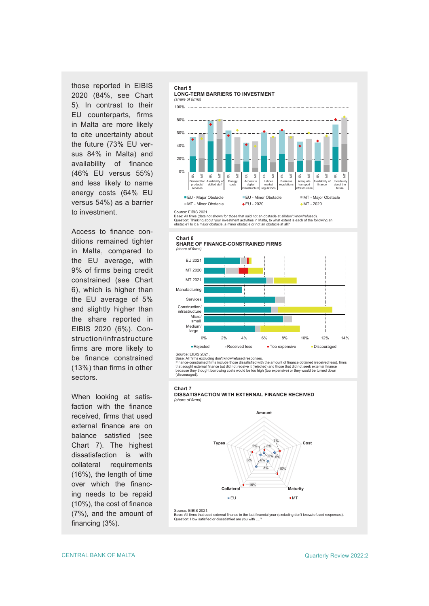those reported in EIBIS 2020 (84%, see Chart 5). In contrast to their EU counterparts, firms in Malta are more likely to cite uncertainty about the future (73% EU versus 84% in Malta) and availability of finance (46% EU versus 55%) and less likely to name energy costs (64% EU versus 54%) as a barrier to investment.

Access to finance conditions remained tighter in Malta, compared to the EU average, with 9% of firms being credit constrained (see Chart 6), which is higher than the EU average of 5% and slightly higher than the share reported in EIBIS 2020 (6%). Construction/infrastructure firms are more likely to be finance constrained (13%) than firms in other sectors.

When looking at satisfaction with the finance received, firms that used external finance are on balance satisfied (see Chart 7). The highest dissatisfaction is with collateral requirements (16%), the length of time over which the financing needs to be repaid (10%), the cost of finance (7%), and the amount of financing (3%).





Source: EIBIS 2021.<br>Base: All firms (data not shown for those that said not an obstacle at all/don't know/refused).<br>Question: Thinking about your investment activities in Malta, to what extent is each of the following an<br>o





Source: EIBIS 2021.

Base: All firms excluding don't know/refused responses. Finance-constrained firms include those dissatisfied with the amount of finance obtained (received less), firms that sought external finance but did not receive it (rejected) and those that did not seek external finance because they thought borrowing costs would be too high (too expensive) or they would be turned down (discouraged).





Source: EIBIS 2021 Base: All firms that used external finance in the last financial year (excluding don't know/refused responses). Question: How satisfied or dissatistfied are you with ....?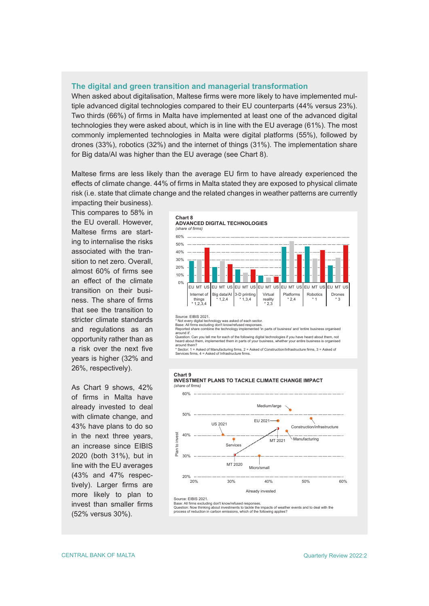#### **The digital and green transition and managerial transformation**

When asked about digitalisation, Maltese firms were more likely to have implemented multiple advanced digital technologies compared to their EU counterparts (44% versus 23%). Two thirds (66%) of firms in Malta have implemented at least one of the advanced digital technologies they were asked about, which is in line with the EU average (61%). The most commonly implemented technologies in Malta were digital platforms (55%), followed by drones (33%), robotics (32%) and the internet of things (31%). The implementation share for Big data/AI was higher than the EU average (see Chart 8).

Maltese firms are less likely than the average EU firm to have already experienced the effects of climate change. 44% of firms in Malta stated they are exposed to physical climate risk (i.e. state that climate change and the related changes in weather patterns are currently

impacting their business). This compares to 58% in the EU overall. However, Maltese firms are starting to internalise the risks associated with the transition to net zero. Overall, almost 60% of firms see an effect of the climate transition on their business. The share of firms that see the transition to stricter climate standards and regulations as an opportunity rather than as a risk over the next five years is higher (32% and 26%, respectively).

As Chart 9 shows, 42% of firms in Malta have already invested to deal with climate change, and 43% have plans to do so in the next three years, an increase since EIBIS 2020 (both 31%), but in line with the EU averages (43% and 47% respectively). Larger firms are more likely to plan to invest than smaller firms (52% versus 30%).



around it'.<br>Question: Can you tell me for each of the following digital technologies if you have heard about them, not<br>heard about them, implemented them in parts of your business, whether your entire business is organised

#### **Chart 9 INVESTMENT PLANS TO TACKLE CLIMATE CHANGE IMPACT** *(share of firms)*



Question: Now thinking about investments to tackle the impacts of weather events and to deal with the process of reduction in carbon emissions, which of the following applies?